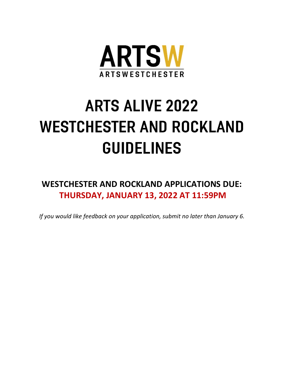

# ARTS ALIVE 2022 WESTCHESTER AND ROCKLAND GUIDELINES

**WESTCHESTER AND ROCKLAND APPLICATIONS DUE: THURSDAY, JANUARY 13, 2022 AT 11:59PM**

*If you would like feedback on your application, submit no later than January 6.*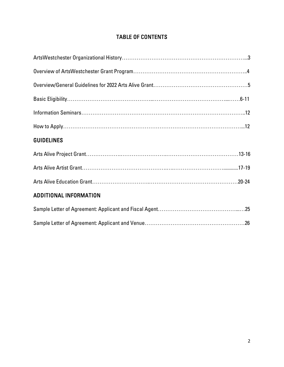# TABLE OF CONTENTS

| <b>GUIDELINES</b>             |
|-------------------------------|
|                               |
|                               |
|                               |
| <b>ADDITIONAL INFORMATION</b> |
|                               |
|                               |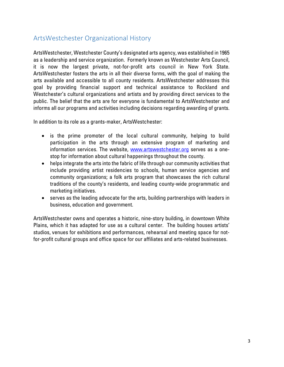# ArtsWestchester Organizational History

ArtsWestchester, Westchester County's designated arts agency, was established in 1965 as a leadership and service organization. Formerly known as Westchester Arts Council, it is now the largest private, not-for-profit arts council in New York State. ArtsWestchester fosters the arts in all their diverse forms, with the goal of making the arts available and accessible to all county residents. ArtsWestchester addresses this goal by providing financial support and technical assistance to Rockland and Westchester's cultural organizations and artists and by providing direct services to the public. The belief that the arts are for everyone is fundamental to ArtsWestchester and informs all our programs and activities including decisions regarding awarding of grants.

In addition to its role as a grants-maker, ArtsWestchester:

- is the prime promoter of the local cultural community, helping to build participation in the arts through an extensive program of marketing and information services. The website, [www.artswestchester.org](http://www.artswestchester.org/) serves as a onestop for information about cultural happenings throughout the county.
- helps integrate the arts into the fabric of life through our community activities that include providing artist residencies to schools, human service agencies and community organizations; a folk arts program that showcases the rich cultural traditions of the county's residents, and leading county-wide programmatic and marketing initiatives.
- serves as the leading advocate for the arts, building partnerships with leaders in business, education and government.

ArtsWestchester owns and operates a historic, nine-story building, in downtown White Plains, which it has adapted for use as a cultural center. The building houses artists' studios, venues for exhibitions and performances, rehearsal and meeting space for notfor-profit cultural groups and office space for our affiliates and arts-related businesses.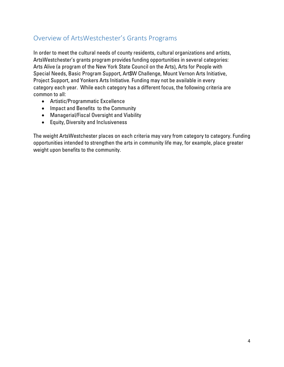# Overview of ArtsWestchester's Grants Programs

In order to meet the cultural needs of county residents, cultural organizations and artists, ArtsWestchester's grants program provides funding opportunities in several categories: Arts Alive (a program of the New York State Council on the Arts), Arts for People with Special Needs, Basic Program Support, Art\$W Challenge, Mount Vernon Arts Initiative, Project Support, and Yonkers Arts Initiative. Funding may not be available in every category each year. While each category has a different focus, the following criteria are common to all:

- Artistic/Programmatic Excellence
- Impact and Benefits to the Community
- Managerial/Fiscal Oversight and Viability
- Equity, Diversity and Inclusiveness

The weight ArtsWestchester places on each criteria may vary from category to category. Funding opportunities intended to strengthen the arts in community life may, for example, place greater weight upon benefits to the community.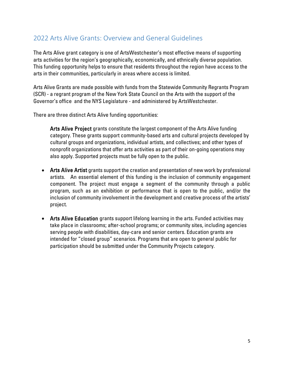# 2022 Arts Alive Grants: Overview and General Guidelines

The Arts Alive grant category is one of ArtsWestchester's most effective means of supporting arts activities for the region's geographically, economically, and ethnically diverse population. This funding opportunity helps to ensure that residents throughout the region have access to the arts in their communities, particularly in areas where access is limited.

Arts Alive Grants are made possible with funds from the Statewide Community Regrants Program (SCR) - a regrant program of the New York State Council on the Arts with the support of the Governor's office and the NYS Legislature - and administered by ArtsWestchester.

There are three distinct Arts Alive funding opportunities:

 Arts Alive Project grants constitute the largest component of the Arts Alive funding category. These grants support community-based arts and cultural projects developed by cultural groups and organizations, individual artists, and collectives; and other types of nonprofit organizations that offer arts activities as part of their on-going operations may also apply. Supported projects must be fully open to the public.

- Arts Alive Artist grants support the creation and presentation of new work by professional artists. An essential element of this funding is the inclusion of community engagement component. The project must engage a segment of the community through a public program, such as an exhibition or performance that is open to the public, and/or the inclusion of community involvement in the development and creative process of the artists' project.
- Arts Alive Education grants support lifelong learning in the arts. Funded activities may take place in classrooms; after-school programs; or community sites, including agencies serving people with disabilities, day-care and senior centers. Education grants are intended for "closed group" scenarios. Programs that are open to general public for participation should be submitted under the Community Projects category.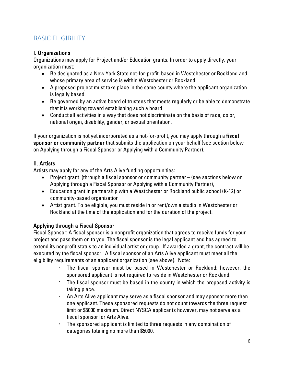# BASIC ELIGIBILITY

# I. Organizations

Organizations may apply for Project and/or Education grants. In order to apply directly, your organization must:

- Be designated as a New York State not-for-profit, based in Westchester or Rockland and whose primary area of service is within Westchester or Rockland
- A proposed project must take place in the same county where the applicant organization is legally based.
- Be governed by an active board of trustees that meets regularly or be able to demonstrate that it is working toward establishing such a board
- Conduct all activities in a way that does not discriminate on the basis of race, color, national origin, disability, gender, or sexual orientation.

If your organization is not yet incorporated as a not-for-profit, you may apply through a fiscal sponsor or community partner that submits the application on your behalf (see section below on Applying through a Fiscal Sponsor or Applying with a Community Partner).

# II. Artists

Artists may apply for any of the Arts Alive funding opportunities:

- Project grant (through a fiscal sponsor or community partner (see sections below on Applying through a Fiscal Sponsor or Applying with a Community Partner),
- Education grant in partnership with a Westchester or Rockland public school (K-12) or community-based organization
- Artist grant. To be eligible, you must reside in or rent/own a studio in Westchester or Rockland at the time of the application and for the duration of the project.

# Applying through a Fiscal Sponsor

Fiscal Sponsor: A fiscal sponsor is a nonprofit organization that agrees to receive funds for your project and pass them on to you. The fiscal sponsor is the legal applicant and has agreed to extend its nonprofit status to an individual artist or group. If awarded a grant, the contract will be executed by the fiscal sponsor. A fiscal sponsor of an Arts Alive applicant must meet all the eligibility requirements of an applicant organization (see above). Note:

- The fiscal sponsor must be based in Westchester or Rockland; however, the sponsored applicant is not required to reside in Westchester or Rockland.
- The fiscal sponsor must be based in the county in which the proposed activity is taking place.
- An Arts Alive applicant may serve as a fiscal sponsor and may sponsor more than one applicant. These sponsored requests do not count towards the three request limit or \$5000 maximum. Direct NYSCA applicants however, may not serve as a fiscal sponsor for Arts Alive.
- The sponsored applicant is limited to three requests in any combination of categories totaling no more than \$5000.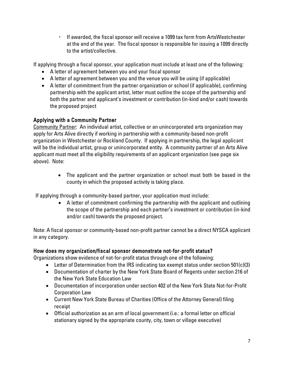▪ If awarded, the fiscal sponsor will receive a 1099 tax form from ArtsWestchester at the end of the year. The fiscal sponsor is responsible for issuing a 1099 directly to the artist/collective.

If applying through a fiscal sponsor, your application must include at least one of the following:

- A letter of agreement between you and your fiscal sponsor
- A letter of agreement between you and the venue you will be using (if applicable)
- A letter of commitment from the partner organization or school (if applicable), confirming partnership with the applicant artist, letter must outline the scope of the partnership and both the partner and applicant's investment or contribution (in-kind and/or cash) towards the proposed project

# Applying with a Community Partner

Community Partner: An individual artist, collective or an unincorporated arts organization may apply for Arts Alive directly if working in partnership with a community-based non-profit organization in Westchester or Rockland County. If applying in partnership, the legal applicant will be the individual artist, group or unincorporated entity. A community partner of an Arts Alive applicant must meet all the eligibility requirements of an applicant organization (see page six above). Note:

> • The applicant and the partner organization or school must both be based in the county in which the proposed activity is taking place.

If applying through a community-based partner, your application must include:

• A letter of commitment confirming the partnership with the applicant and outlining the scope of the partnership and each partner's investment or contribution (in-kind and/or cash) towards the proposed project.

Note: A fiscal sponsor or community-based non-profit partner cannot be a direct NYSCA applicant in any category.

# How does my organization/fiscal sponsor demonstrate not-for-profit status?

Organizations show evidence of not-for-profit status through one of the following:

- Letter of Determination from the IRS indicating tax exempt status under section 501(c)(3)
- Documentation of charter by the New York State Board of Regents under section 216 of the New York State Education Law
- Documentation of incorporation under section 402 of the New York State Not-for-Profit Corporation Law
- Current New York State Bureau of Charities (Office of the Attorney General) filing receipt
- Official authorization as an arm of local government (i.e.: a formal letter on official stationary signed by the appropriate county, city, town or village executive)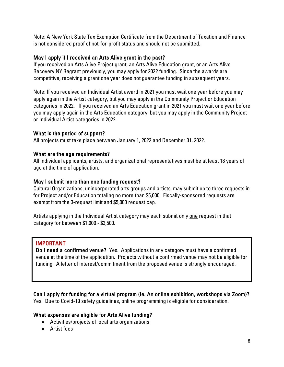Note: A New York State Tax Exemption Certificate from the Department of Taxation and Finance is not considered proof of not-for-profit status and should not be submitted.

## May I apply if I received an Arts Alive grant in the past?

If you received an Arts Alive Project grant, an Arts Alive Education grant, or an Arts Alive Recovery NY Regrant previously, you may apply for 2022 funding. Since the awards are competitive, receiving a grant one year does not guarantee funding in subsequent years.

Note: If you received an Individual Artist award in 2021 you must wait one year before you may apply again in the Artist category, but you may apply in the Community Project or Education categories in 2022. If you received an Arts Education grant in 2021 you must wait one year before you may apply again in the Arts Education category, but you may apply in the Community Project or Individual Artist categories in 2022.

## What is the period of support?

All projects must take place between January 1, 2022 and December 31, 2022.

## What are the age requirements?

All individual applicants, artists, and organizational representatives must be at least 18 years of age at the time of application.

## May I submit more than one funding request?

Cultural Organizations, unincorporated arts groups and artists, may submit up to three requests in for Project and/or Education totaling no more than \$5,000. Fiscally-sponsored requests are exempt from the 3-request limit and \$5,000 request cap.

Artists applying in the Individual Artist category may each submit only one request in that category for between \$1,000 - \$2,500.

# IMPORTANT

Do I need a confirmed venue? Yes. Applications in any category must have a confirmed venue at the time of the application. Projects without a confirmed venue may not be eligible for funding. A letter of interest/commitment from the proposed venue is strongly encouraged.

Can I apply for funding for a virtual program (ie. An online exhibition, workshops via Zoom)? Yes. Due to Covid-19 safety guidelines, online programming is eligible for consideration.

# What expenses are eligible for Arts Alive funding?

- Activities/projects of local arts organizations
- Artist fees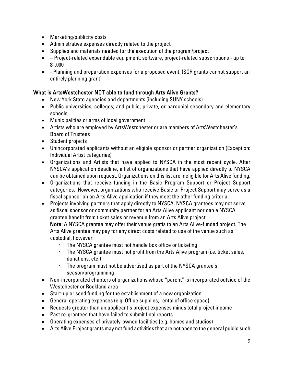- Marketing/publicity costs
- Administrative expenses directly related to the project
- Supplies and materials needed for the execution of the program/project
- – Project-related expendable equipment, software, project-related subscriptions up to \$1,000
- - Planning and preparation expenses for a proposed event. (SCR grants cannot support an entirely planning grant)

# What is ArtsWestchester NOT able to fund through Arts Alive Grants?

- New York State agencies and departments (including SUNY schools)
- Public universities, colleges; and public, private, or parochial secondary and elementary schools
- Municipalities or arms of local government
- Artists who are employed by ArtsWestchester or are members of ArtsWestchester's Board of Trustees
- Student projects
- Unincorporated applicants without an eligible sponsor or partner organization (Exception: Individual Artist categories)
- Organizations and Artists that have applied to NYSCA in the most recent cycle. After NYSCA's application deadline, a list of organizations that have applied directly to NYSCA can be obtained upon request. Organizations on this list are ineligible for Arts Alive funding.
- Organizations that receive funding in the Basic Program Support or Project Support categories. However, organizations who receive Basic or Project Support may serve as a fiscal sponsor on an Arts Alive application if they meet the other funding criteria.
- Projects involving partners that apply directly to NYSCA. NYSCA grantees may not serve as fiscal sponsor or community partner for an Arts Alive applicant nor can a NYSCA grantee benefit from ticket sales or revenue from an Arts Alive project.

Note: A NYSCA grantee may offer their venue gratis to an Arts Alive-funded project. The Arts Alive grantee may pay for any direct costs related to use of the venue such as custodial, however:

- The NYSCA grantee must not handle box office or ticketing
- The NYSCA grantee must not profit from the Arts Alive program (i.e. ticket sales, donations, etc.)
- The program must not be advertised as part of the NYSCA grantee's season/programming
- Non-incorporated chapters of organizations whose "parent" is incorporated outside of the Westchester or Rockland area
- Start-up or seed funding for the establishment of a new organization
- General operating expenses (e.g. Office supplies, rental of office space)
- Requests greater than an applicant's project expenses minus total project income
- Past re-grantees that have failed to submit final reports
- Operating expenses of privately-owned facilities (e.g. homes and studios)
- Arts Alive Project grants may not fund activities that are not open to the general public such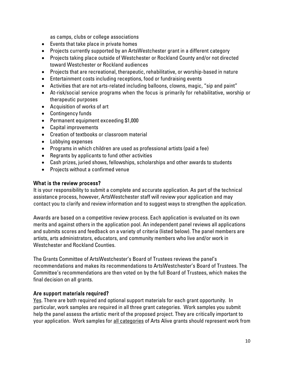as camps, clubs or college associations

- Events that take place in private homes
- Projects currently supported by an ArtsWestchester grant in a different category
- Projects taking place outside of Westchester or Rockland County and/or not directed toward Westchester or Rockland audiences
- Projects that are recreational, therapeutic, rehabilitative, or worship-based in nature
- Entertainment costs including receptions, food or fundraising events
- Activities that are not arts-related including balloons, clowns, magic, "sip and paint"
- At-risk/social service programs when the focus is primarily for rehabilitative, worship or therapeutic purposes
- Acquisition of works of art
- Contingency funds
- Permanent equipment exceeding \$1,000
- Capital improvements
- Creation of textbooks or classroom material
- Lobbying expenses
- Programs in which children are used as professional artists (paid a fee)
- Regrants by applicants to fund other activities
- Cash prizes, juried shows, fellowships, scholarships and other awards to students
- Projects without a confirmed venue

#### What is the review process?

It is your responsibility to submit a complete and accurate application. As part of the technical assistance process, however, ArtsWestchester staff will review your application and may contact you to clarify and review information and to suggest ways to strengthen the application.

Awards are based on a competitive review process. Each application is evaluated on its own merits and against others in the application pool. An independent panel reviews all applications and submits scores and feedback on a variety of criteria (listed below). The panel members are artists, arts administrators, educators, and community members who live and/or work in Westchester and Rockland Counties.

The Grants Committee of ArtsWestchester's Board of Trustees reviews the panel's recommendations and makes its recommendations to ArtsWestchester's Board of Trustees. The Committee's recommendations are then voted on by the full Board of Trustees, which makes the final decision on all grants.

## Are support materials required?

Yes. There are both required and optional support materials for each grant opportunity. In particular, work samples are required in all three grant categories. Work samples you submit help the panel assess the artistic merit of the proposed project. They are critically important to your application. Work samples for all categories of Arts Alive grants should represent work from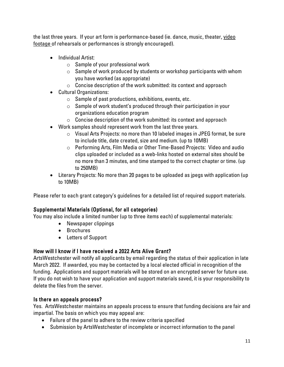the last three years. If your art form is performance-based (ie. dance, music, theater, video footage of rehearsals or performances is strongly encouraged).

- Individual Artist:
	- $\circ$  Sample of your professional work
	- $\circ$  Sample of work produced by students or workshop participants with whom you have worked (as appropriate)
	- $\circ$  Concise description of the work submitted: its context and approach
- Cultural Organizations:
	- $\circ$  Sample of past productions, exhibitions, events, etc.
	- o Sample of work student's produced through their participation in your organizations education program
	- $\circ$  Concise description of the work submitted: its context and approach
- Work samples should represent work from the last three years.
	- $\circ$  Visual Arts Projects: no more than 10 labeled images in JPEG format, be sure to include title, date created, size and medium. (up to 10MB)
	- $\circ$  Performing Arts, Film Media or Other Time-Based Projects: Video and audio clips uploaded or included as a web-links hosted on external sites should be no more than 3 minutes, and time stamped to the correct chapter or time. (up to 250MB)
- Literary Projects: No more than 20 pages to be uploaded as jpegs with application (up to 10MB)

Please refer to each grant category's guidelines for a detailed list of required support materials.

# Supplemental Materials (Optional, for all categories)

You may also include a limited number (up to three items each) of supplemental materials:

- Newspaper clippings
- Brochures
- Letters of Support

# How will I know if I have received a 2022 Arts Alive Grant?

ArtsWestchester will notify all applicants by email regarding the status of their application in late March 2022. If awarded, you may be contacted by a local elected official in recognition of the funding. Applications and support materials will be stored on an encrypted server for future use. If you do not wish to have your application and support materials saved, it is your responsibility to delete the files from the server.

# Is there an appeals process?

Yes. ArtsWestchester maintains an appeals process to ensure that funding decisions are fair and impartial. The basis on which you may appeal are:

- Failure of the panel to adhere to the review criteria specified
- Submission by ArtsWestchester of incomplete or incorrect information to the panel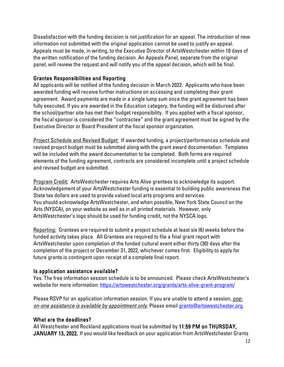Dissatisfaction with the funding decision is not justification for an appeal. The introduction of new information not submitted with the original application cannot be used to justify an appeal. Appeals must be made, in writing, to the Executive Director of ArtsWestchester within 10 days of the written notification of the funding decision. An Appeals Panel, separate from the original panel, will review the request and will notify you of the appeal decision, which will be final.

## Grantee Responsibilities and Reporting

All applicants will be notified of the funding decision in March 2022. Applicants who have been awarded funding will receive further instructions on accessing and completing their grant agreement. Award payments are made in a single lump sum once the grant agreement has been fully executed. If you are awarded in the Education category, the funding will be disbursed after the school/partner site has met their budget responsibility. If you applied with a fiscal sponsor, the fiscal sponsor is considered the "contractee" and the grant agreement must be signed by the Executive Director or Board President of the fiscal sponsor organization.

Project Schedule and Revised Budget: If awarded funding, a project/performances schedule and revised project budget must be submitted along with the grant award documentation. Templates will be included with the award documentation to be completed. Both forms are required elements of the funding agreement, contracts are considered incomplete until a project schedule and revised budget are submitted.

Program Credit: ArtsWestchester requires Arts Alive grantees to acknowledge its support. Acknowledgement of your ArtsWestchester funding is essential to building public awareness that State tax dollars are used to provide valued local arts programs and services. You should acknowledge ArtsWestchester, and when possible, New York State Council on the Arts (NYSCA), on your website as well as in all printed materials. However, only ArtsWestchester's logo should be used for funding credit, not the NYSCA logo.

Reporting: Grantees are required to submit a project schedule at least six (6) weeks before the funded activity takes place. All Grantees are required to file a final grant report with ArtsWestchester upon completion of the funded cultural event either thirty (30) days after the completion of the project or December 31, 2022, whichever comes first. Eligibility to apply for future grants is contingent upon receipt of a complete final report.

# Is application assistance available?

Yes. The free information session schedule is to be announced. Please check ArtsWestchester's website for more information:<https://artswestchester.org/grants/arts-alive-grant-program/>

Please RSVP for an application information session. If you are unable to attend a session, *oneon-one assistance is available by appointment only*. Please email [grants@artswestchester.org.](mailto:sabbott@artswestchester.org)

# What are the deadlines?

All Westchester and Rockland applications must be submitted by 11:59 PM on THURSDAY, JANUARY 13, 2022. If you would like feedback on your application from ArtsWestchester Grants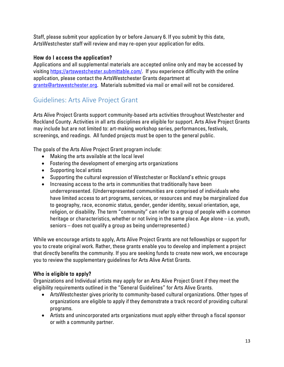Staff, please submit your application by or before January 6. If you submit by this date, ArtsWestchester staff will review and may re-open your application for edits.

## How do I access the application?

Applications and all supplemental materials are accepted online only and may be accessed by visiting [https://artswestchester.submittable.com/.](https://artswestchester.submittable.com/) If you experience difficulty with the online application, please contact the ArtsWestchester Grants department at [grants@artswestchester.org.](mailto:sabbott@artswestchester.org) Materials submitted via mail or email will not be considered.

# Guidelines: Arts Alive Project Grant

Arts Alive Project Grants support community-based arts activities throughout Westchester and Rockland County. Activities in all arts disciplines are eligible for support. Arts Alive Project Grants may include but are not limited to: art-making workshop series, performances, festivals, screenings, and readings. All funded projects must be open to the general public.

The goals of the Arts Alive Project Grant program include:

- Making the arts available at the local level
- Fostering the development of emerging arts organizations
- Supporting local artists
- Supporting the cultural expression of Westchester or Rockland's ethnic groups
- Increasing access to the arts in communities that traditionally have been underrepresented. (Underrepresented communities are comprised of individuals who have limited access to art programs, services, or resources and may be marginalized due to geography, race, economic status, gender, gender identity, sexual orientation, age, religion, or disability. The term "community" can refer to a group of people with a common heritage or characteristics, whether or not living in the same place. Age alone – i.e. youth, seniors – does not qualify a group as being underrepresented.)

While we encourage artists to apply, Arts Alive Project Grants are not fellowships or support for you to create original work. Rather, these grants enable you to develop and implement a project that directly benefits the community. If you are seeking funds to create new work, we encourage you to review the supplementary guidelines for Arts Alive Artist Grants.

# Who is eligible to apply?

Organizations and Individual artists may apply for an Arts Alive Project Grant if they meet the eligibility requirements outlined in the "General Guidelines" for Arts Alive Grants.

- ArtsWestchester gives priority to community-based cultural organizations. Other types of organizations are eligible to apply if they demonstrate a track record of providing cultural programs.
- Artists and unincorporated arts organizations must apply either through a fiscal sponsor or with a community partner.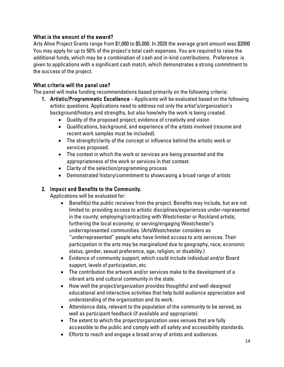## What is the amount of the award?

Arts Alive Project Grants range from \$1,000 to \$5,000. In 2020 the average grant amount was \$2000 You may apply for up to 50% of the project's total cash expenses. You are required to raise the additional funds, which may be a combination of cash and in-kind contributions. Preference is given to applications with a significant cash match, which demonstrates a strong commitment to the success of the project.

## What criteria will the panel use?

The panel will make funding recommendations based primarily on the following criteria:

- 1. Artistic/Programmatic Excellence Applicants will be evaluated based on the following artistic questions. Applications need to address not only the artist's/organization's background/history and strengths, but also how/why the work is being created.
	- Quality of the proposed project; evidence of creativity and vision
	- Qualifications, background, and experience of the artists involved (resume and recent work samples must be included).
	- The strength/clarity of the concept or influence behind the artistic work or services proposed.
	- The context in which the work or services are being presented and the appropriateness of the work or services in that context.
	- Clarity of the selection/programming process
	- Demonstrated history/commitment to showcasing a broad range of artists

# 2. Impact and Benefits to the Community.

Applications will be evaluated for:

- Benefit(s) the public receives from the project. Benefits may include, but are not limited to: providing access to artistic disciplines/experiences under-represented in the county; employing/contracting with Westchester or Rockland artists; furthering the local economy; or serving/engaging Westchester's underrepresented communities. (ArtsWestchester considers as "underrepresented" people who have limited access to arts services. Their participation in the arts may be marginalized due to geography, race, economic status, gender, sexual preference, age, religion, or disability.)
- Evidence of community support, which could include individual and/or Board support, levels of participation, etc.
- The contribution the artwork and/or services make to the development of a vibrant arts and cultural community in the state.
- How well the project/organization provides thoughtful and well-designed educational and interactive activities that help build audience appreciation and understanding of the organization and its work.
- Attendance data, relevant to the population of the community to be served, as well as participant feedback (if available and appropriate).
- The extent to which the project/organization uses venues that are fully accessible to the public and comply with all safety and accessibility standards.
- Efforts to reach and engage a broad array of artists and audiences.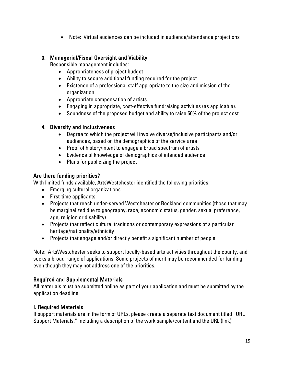• Note: Virtual audiences can be included in audience/attendance projections

## 3. Managerial/Fiscal Oversight and Viability

Responsible management includes:

- Appropriateness of project budget
- Ability to secure additional funding required for the project
- Existence of a professional staff appropriate to the size and mission of the organization
- Appropriate compensation of artists
- Engaging in appropriate, cost-effective fundraising activities (as applicable).
- Soundness of the proposed budget and ability to raise 50% of the project cost

## 4. Diversity and Inclusiveness

- Degree to which the project will involve diverse/inclusive participants and/or audiences, based on the demographics of the service area
- Proof of history/intent to engage a broad spectrum of artists
- Evidence of knowledge of demographics of intended audience
- Plans for publicizing the project

# Are there funding priorities?

With limited funds available, ArtsWestchester identified the following priorities:

- Emerging cultural organizations
- First-time applicants
- Projects that reach under-served Westchester or Rockland communities (those that may be marginalized due to geography, race, economic status, gender, sexual preference, age, religion or disability)
- Projects that reflect cultural traditions or contemporary expressions of a particular heritage/nationality/ethnicity
- Projects that engage and/or directly benefit a significant number of people

Note: ArtsWestchester seeks to support locally-based arts activities throughout the county, and seeks a broad-range of applications. Some projects of merit may be recommended for funding, even though they may not address one of the priorities.

# Required and Supplemental Materials

All materials must be submitted online as part of your application and must be submitted by the application deadline.

# I. Required Materials

If support materials are in the form of URLs, please create a separate text document titled "URL Support Materials," including a description of the work sample/content and the URL (link)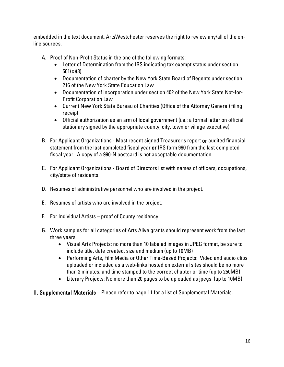embedded in the text document. ArtsWestchester reserves the right to review any/all of the online sources.

- A. Proof of Non-Profit Status in the one of the following formats:
	- Letter of Determination from the IRS indicating tax exempt status under section 501(c)(3)
	- Documentation of charter by the New York State Board of Regents under section 216 of the New York State Education Law
	- Documentation of incorporation under section 402 of the New York State Not-for-Profit Corporation Law
	- Current New York State Bureau of Charities (Office of the Attorney General) filing receipt
	- Official authorization as an arm of local government (i.e.: a formal letter on official stationary signed by the appropriate county, city, town or village executive)
- B. For Applicant Organizations Most recent signed Treasurer's report or audited financial statement from the last completed fiscal year or IRS form 990 from the last completed fiscal year. A copy of a 990-N postcard is not acceptable documentation.
- C. For Applicant Organizations Board of Directors list with names of officers, occupations, city/state of residents.
- D. Resumes of administrative personnel who are involved in the project.
- E. Resumes of artists who are involved in the project.
- F. For Individual Artists proof of County residency
- G. Work samples for all categories of Arts Alive grants should represent work from the last three years.
	- Visual Arts Projects: no more than 10 labeled images in JPEG format, be sure to include title, date created, size and medium (up to 10MB)
	- Performing Arts, Film Media or Other Time-Based Projects: Video and audio clips uploaded or included as a web-links hosted on external sites should be no more than 3 minutes, and time stamped to the correct chapter or time (up to 250MB)
	- Literary Projects: No more than 20 pages to be uploaded as jpegs (up to 10MB)
- II. Supplemental Materials Please refer to page 11 for a list of Supplemental Materials.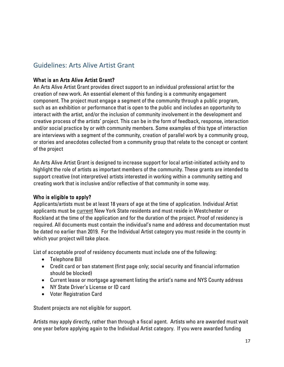# Guidelines: Arts Alive Artist Grant

## What is an Arts Alive Artist Grant?

An Arts Alive Artist Grant provides direct support to an individual professional artist for the creation of new work. An essential element of this funding is a community engagement component. The project must engage a segment of the community through a public program, such as an exhibition or performance that is open to the public and includes an opportunity to interact with the artist, and/or the inclusion of community involvement in the development and creative process of the artists' project. This can be in the form of feedback, response, interaction and/or social practice by or with community members. Some examples of this type of interaction are interviews with a segment of the community, creation of parallel work by a community group, or stories and anecdotes collected from a community group that relate to the concept or content of the project

An Arts Alive Artist Grant is designed to increase support for local artist-initiated activity and to highlight the role of artists as important members of the community. These grants are intended to support creative (not interpretive) artists interested in working within a community setting and creating work that is inclusive and/or reflective of that community in some way.

#### Who is eligible to apply?

Applicants/artists must be at least 18 years of age at the time of application. Individual Artist applicants must be current New York State residents and must reside in Westchester or Rockland at the time of the application and for the duration of the project. Proof of residency is required. All documents must contain the individual's name and address and documentation must be dated no earlier than 2019. For the Individual Artist category you must reside in the county in which your project will take place.

List of acceptable proof of residency documents must include one of the following:

- Telephone Bill
- Credit card or ban statement (first page only; social security and financial information should be blocked)
- Current lease or mortgage agreement listing the artist's name and NYS County address
- NY State Driver's License or ID card
- Voter Registration Card

Student projects are not eligible for support.

Artists may apply directly, rather than through a fiscal agent. Artists who are awarded must wait one year before applying again to the Individual Artist category. If you were awarded funding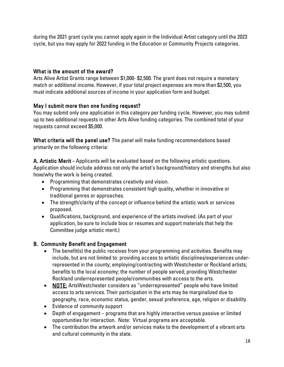during the 2021 grant cycle you cannot apply again in the Individual Artist category until the 2023 cycle, but you may apply for 2022 funding in the Education or Community Projects categories.

## What is the amount of the award?

Arts Alive Artist Grants range between \$1,000- \$2,500. The grant does not require a monetary match or additional income. However, if your total project expenses are more than \$2,500, you must indicate additional sources of income in your application form and budget.

# May I submit more than one funding request?

You may submit only one application in this category per funding cycle. However, you may submit up to two additional requests in other Arts Alive funding categories. The combined total of your requests cannot exceed \$5,000.

What criteria will the panel use? The panel will make funding recommendations based primarily on the following criteria:

A. Artistic Merit - Applicants will be evaluated based on the following artistic questions. Application should include address not only the artist's background/history and strengths but also how/why the work is being created.

- Programming that demonstrates creativity and vision.
- Programming that demonstrates consistent high quality, whether in innovative or traditional genres or approaches.
- The strength/clarity of the concept or influence behind the artistic work or services proposed.
- Qualifications, background, and experience of the artists involved. (As part of your application, be sure to include bios or resumes and support materials that help the Committee judge artistic merit.)

# B. Community Benefit and Engagement

- The benefit(s) the public receives from your programming and activities. Benefits may include, but are not limited to: providing access to artistic disciplines/experiences underrepresented in the county; employing/contracting with Westchester or Rockland artists; benefits to the local economy; the number of people served; providing Westchester Rockland underrepresented people/communities with access to the arts.
- NOTE: ArtsWestchester considers as "underrepresented" people who have limited access to arts services. Their participation in the arts may be marginalized due to geography, race, economic status, gender, sexual preference, age, religion or disability.
- Evidence of community support
- Depth of engagement programs that are highly interactive versus passive or limited opportunities for interaction. Note: Virtual programs are acceptable.
- The contribution the artwork and/or services make to the development of a vibrant arts and cultural community in the state.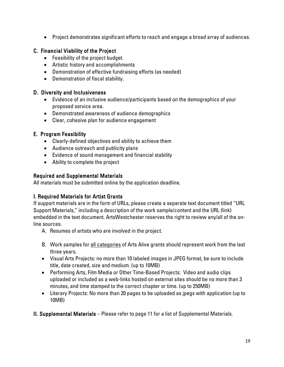• Project demonstrates significant efforts to reach and engage a broad array of audiences.

## C. Financial Viability of the Project

- Feasibility of the project budget.
- Artistic history and accomplishments
- Demonstration of effective fundraising efforts (as needed)
- Demonstration of fiscal stability.

#### D. Diversity and Inclusiveness

- Evidence of an inclusive audience/participants based on the demographics of your proposed service area.
- Demonstrated awareness of audience demographics
- Clear, cohesive plan for audience engagement

## E. Program Feasibility

- Clearly-defined objectives and ability to achieve them
- Audience outreach and publicity plans
- Evidence of sound management and financial stability
- Ability to complete the project

## Required and Supplemental Materials

All materials must be submitted online by the application deadline.

## I. Required Materials for Artist Grants

If support materials are in the form of URLs, please create a separate text document titled "URL Support Materials," including a description of the work sample/content and the URL (link) embedded in the text document. ArtsWestchester reserves the right to review any/all of the online sources.

- A. Resumes of artists who are involved in the project.
- B. Work samples for all categories of Arts Alive grants should represent work from the last three years.
- Visual Arts Projects: no more than 10 labeled images in JPEG format, be sure to include title, date created, size and medium. (up to 10MB)
- Performing Arts, Film Media or Other Time-Based Projects: Video and audio clips uploaded or included as a web-links hosted on external sites should be no more than 3 minutes, and time stamped to the correct chapter or time. (up to 250MB)
- Literary Projects: No more than 20 pages to be uploaded as jpegs with application (up to 10MB)
- II. Supplemental Materials Please refer to page 11 for a list of Supplemental Materials.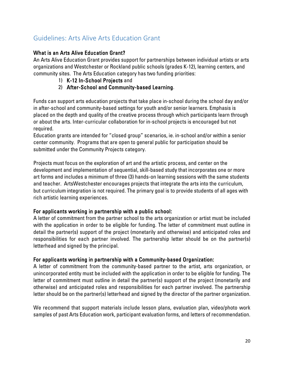# Guidelines: Arts Alive Arts Education Grant

## What is an Arts Alive Education Grant?

An Arts Alive Education Grant provides support for partnerships between individual artists or arts organizations and Westchester or Rockland public schools (grades K-12), learning centers, and community sites. The Arts Education category has two funding priorities:

- 1) K-12 In-School Projects and
- 2) After-School and Community-based Learning.

Funds can support arts education projects that take place in-school during the school day and/or in after-school and community-based settings for youth and/or senior learners. Emphasis is placed on the depth and quality of the creative process through which participants learn through or about the arts. Inter-curricular collaboration for in-school projects is encouraged but not required.

Education grants are intended for "closed group" scenarios, ie. in-school and/or within a senior center community. Programs that are open to general public for participation should be submitted under the Community Projects category.

Projects must focus on the exploration of art and the artistic process, and center on the development and implementation of sequential, skill-based study that incorporates one or more art forms and includes a minimum of three (3) hands-on learning sessions with the same students and teacher. ArtsWestchester encourages projects that integrate the arts into the curriculum, but curriculum integration is not required. The primary goal is to provide students of all ages with rich artistic learning experiences.

## For applicants working in partnership with a public school:

A letter of commitment from the partner school to the arts organization or artist must be included with the application in order to be eligible for funding. The letter of commitment must outline in detail the partner(s) support of the project (monetarily and otherwise) and anticipated roles and responsibilities for each partner involved. The partnership letter should be on the partner(s) letterhead and signed by the principal.

## For applicants working in partnership with a Community-based Organization:

A letter of commitment from the community-based partner to the artist, arts organization, or unincorporated entity must be included with the application in order to be eligible for funding. The letter of commitment must outline in detail the partner(s) support of the project (monetarily and otherwise) and anticipated roles and responsibilities for each partner involved. The partnership letter should be on the partner(s) letterhead and signed by the director of the partner organization.

We recommend that support materials include lesson plans, evaluation plan, video/photo work samples of past Arts Education work, participant evaluation forms, and letters of recommendation.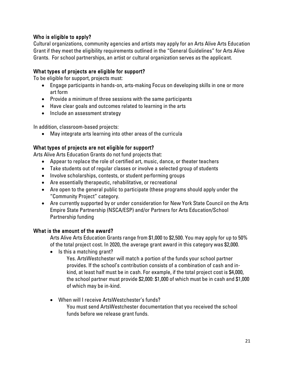## Who is eligible to apply?

Cultural organizations, community agencies and artists may apply for an Arts Alive Arts Education Grant if they meet the eligibility requirements outlined in the "General Guidelines" for Arts Alive Grants. For school partnerships, an artist or cultural organization serves as the applicant.

## What types of projects are eligible for support?

To be eligible for support, projects must:

- Engage participants in hands-on, arts-making Focus on developing skills in one or more art form
- Provide a minimum of three sessions with the same participants
- Have clear goals and outcomes related to learning in the arts
- Include an assessment strategy

In addition, classroom-based projects:

• May integrate arts learning into other areas of the curricula

## What types of projects are not eligible for support?

Arts Alive Arts Education Grants do not fund projects that:

- Appear to replace the role of certified art, music, dance, or theater teachers
- Take students out of regular classes or involve a selected group of students
- Involve scholarships, contests, or student performing groups
- Are essentially therapeutic, rehabilitative, or recreational
- Are open to the general public to participate (these programs should apply under the "Community Project" category.
- Are currently supported by or under consideration for New York State Council on the Arts Empire State Partnership (NSCA/ESP) and/or Partners for Arts Education/School Partnership funding

## What is the amount of the award?

Arts Alive Arts Education Grants range from \$1,000 to \$2,500. You may apply for up to 50% of the total project cost. In 2020, the average grant award in this category was \$2,000.

- Is this a matching grant?
	- Yes. ArtsWestchester will match a portion of the funds your school partner provides. If the school's contribution consists of a combination of cash and inkind, at least half must be in cash. For example, if the total project cost is \$4,000, the school partner must provide \$2,000: \$1,000 of which must be in cash and \$1,000 of which may be in-kind.
- When will I receive ArtsWestchester's funds? You must send ArtsWestchester documentation that you received the school funds before we release grant funds.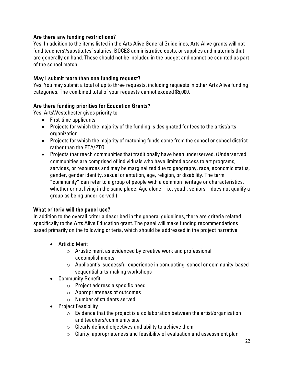## Are there any funding restrictions?

Yes. In addition to the items listed in the Arts Alive General Guidelines, Arts Alive grants will not fund teachers'/substitutes' salaries, BOCES administrative costs, or supplies and materials that are generally on hand. These should not be included in the budget and cannot be counted as part of the school match.

# May I submit more than one funding request?

Yes. You may submit a total of up to three requests, including requests in other Arts Alive funding categories. The combined total of your requests cannot exceed \$5,000.

## Are there funding priorities for Education Grants?

Yes. ArtsWestchester gives priority to:

- First-time applicants
- Projects for which the majority of the funding is designated for fees to the artist/arts organization
- Projects for which the majority of matching funds come from the school or school district rather than the PTA/PTO
- Projects that reach communities that traditionally have been underserved. (Underserved communities are comprised of individuals who have limited access to art programs, services, or resources and may be marginalized due to geography, race, economic status, gender, gender identity, sexual orientation, age, religion, or disability. The term "community" can refer to a group of people with a common heritage or characteristics, whether or not living in the same place. Age alone – i.e. youth, seniors – does not qualify a group as being under-served.)

## What criteria will the panel use?

In addition to the overall criteria described in the general guidelines, there are criteria related specifically to the Arts Alive Education grant. The panel will make funding recommendations based primarily on the following criteria, which should be addressed in the project narrative:

- Artistic Merit
	- o Artistic merit as evidenced by creative work and professional accomplishments
	- o Applicant's successful experience in conducting school or community-based sequential arts-making workshops
- Community Benefit
	- o Project address a specific need
	- o Appropriateness of outcomes
	- o Number of students served
- Project Feasibility
	- $\circ$  Evidence that the project is a collaboration between the artist/organization and teachers/community site
	- $\circ$  Clearly defined objectives and ability to achieve them
	- $\circ$  Clarity, appropriateness and feasibility of evaluation and assessment plan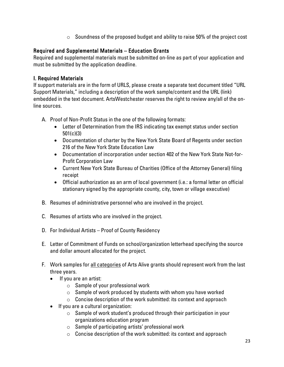$\circ$  Soundness of the proposed budget and ability to raise 50% of the project cost

## Required and Supplemental Materials – Education Grants

Required and supplemental materials must be submitted on-line as part of your application and must be submitted by the application deadline.

## I. Required Materials

If support materials are in the form of URLS, please create a separate text document titled "URL Support Materials," including a description of the work sample/content and the URL (link) embedded in the text document. ArtsWestchester reserves the right to review any/all of the online sources.

- A. Proof of Non-Profit Status in the one of the following formats:
	- Letter of Determination from the IRS indicating tax exempt status under section 501(c)(3)
	- Documentation of charter by the New York State Board of Regents under section 216 of the New York State Education Law
	- Documentation of incorporation under section 402 of the New York State Not-for-Profit Corporation Law
	- Current New York State Bureau of Charities (Office of the Attorney General) filing receipt
	- Official authorization as an arm of local government (i.e.: a formal letter on official stationary signed by the appropriate county, city, town or village executive)
- B. Resumes of administrative personnel who are involved in the project.
- C. Resumes of artists who are involved in the project.
- D. For Individual Artists Proof of County Residency
- E. Letter of Commitment of Funds on school/organization letterhead specifying the source and dollar amount allocated for the project.
- F. Work samples for all categories of Arts Alive grants should represent work from the last three years.
	- If you are an artist:
		- $\circ$  Sample of your professional work
		- $\circ$  Sample of work produced by students with whom you have worked
		- $\circ$  Concise description of the work submitted: its context and approach
	- If you are a cultural organization:
		- o Sample of work student's produced through their participation in your organizations education program
		- o Sample of participating artists' professional work
		- $\circ$  Concise description of the work submitted: its context and approach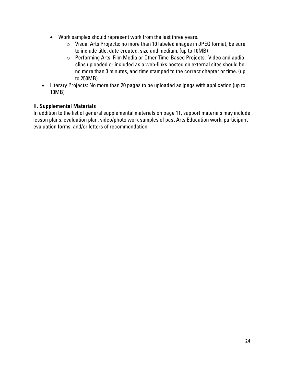- Work samples should represent work from the last three years.
	- o Visual Arts Projects: no more than 10 labeled images in JPEG format, be sure to include title, date created, size and medium. (up to 10MB)
	- o Performing Arts, Film Media or Other Time-Based Projects: Video and audio clips uploaded or included as a web-links hosted on external sites should be no more than 3 minutes, and time stamped to the correct chapter or time. (up to 250MB)
- Literary Projects: No more than 20 pages to be uploaded as jpegs with application (up to 10MB)

## II. Supplemental Materials

In addition to the list of general supplemental materials on page 11, support materials may include lesson plans, evaluation plan, video/photo work samples of past Arts Education work, participant evaluation forms, and/or letters of recommendation.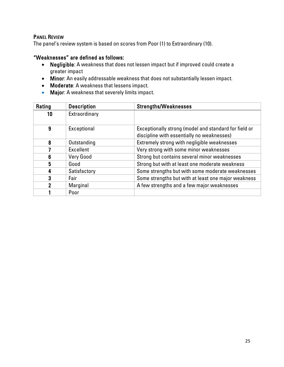## PANEL REVIEW

The panel's review system is based on scores from Poor (1) to Extraordinary (10).

## "Weaknesses" are defined as follows:

- Negligible: A weakness that does not lessen impact but if improved could create a greater impact
- Minor: An easily addressable weakness that does not substantially lessen impact.
- Moderate: A weakness that lessens impact.
- Major: A weakness that severely limits impact.

| Rating | <b>Description</b> | <b>Strengths/Weaknesses</b>                           |
|--------|--------------------|-------------------------------------------------------|
| 10     | Extraordinary      |                                                       |
|        |                    |                                                       |
| 9      | Exceptional        | Exceptionally strong (model and standard for field or |
|        |                    | discipline with essentially no weaknesses)            |
| 8      | Outstanding        | Extremely strong with negligible weaknesses           |
|        | Excellent          | Very strong with some minor weaknesses                |
| 6      | <b>Very Good</b>   | Strong but contains several minor weaknesses          |
| 5      | Good               | Strong but with at least one moderate weakness        |
| 4      | Satisfactory       | Some strengths but with some moderate weaknesses      |
| 3      | Fair               | Some strengths but with at least one major weakness   |
|        | Marginal           | A few strengths and a few major weaknesses            |
|        | Poor               |                                                       |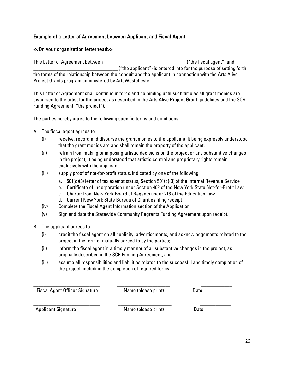## Example of a Letter of Agreement between Applicant and Fiscal Agent

#### <<On your organization letterhead>>

This Letter of Agreement between the same state of the fiscal agent") and ("the applicant") is entered into for the purpose of setting forth the terms of the relationship between the conduit and the applicant in connection with the Arts Alive Project Grants program administered by ArtsWestchester.

This Letter of Agreement shall continue in force and be binding until such time as all grant monies are disbursed to the artist for the project as described in the Arts Alive Project Grant guidelines and the SCR Funding Agreement ("the project").

The parties hereby agree to the following specific terms and conditions:

- A. The fiscal agent agrees to:
	- (i) receive, record and disburse the grant monies to the applicant, it being expressly understood that the grant monies are and shall remain the property of the applicant;
	- (ii) refrain from making or imposing artistic decisions on the project or any substantive changes in the project, it being understood that artistic control and proprietary rights remain exclusively with the applicant;
	- (iii) supply proof of not-for-profit status, indicated by one of the following:
		- a. 501(c)(3) letter of tax exempt status, Section 501(c)(3) of the Internal Revenue Service
		- b. Certificate of Incorporation under Section 402 of the New York State Not-for-Profit Law
		- c. Charter from New York Board of Regents under 216 of the Education Law
		- d. Current New York State Bureau of Charities filing receipt
	- (iv) Complete the Fiscal Agent Information section of the Application.
	- (v) Sign and date the Statewide Community Regrants Funding Agreement upon receipt.
- B. The applicant agrees to:
	- (i) credit the fiscal agent on all publicity, advertisements, and acknowledgements related to the project in the form of mutually agreed to by the parties;
	- (ii) inform the fiscal agent in a timely manner of all substantive changes in the project, as originally described in the SCR Funding Agreement; and

\_\_\_\_\_\_\_\_\_\_\_\_\_\_\_\_\_\_\_\_\_\_\_\_\_\_ \_\_\_\_\_\_\_\_\_\_\_\_\_\_\_\_\_\_\_\_\_ \_\_\_\_\_\_\_\_\_\_\_\_

(iii) assume all responsibilities and liabilities related to the successful and timely completion of the project, including the completion of required forms.

Fiscal Agent Officer Signature **Name** (please print) Date

\_\_\_\_\_\_\_\_\_\_\_\_\_\_\_\_\_\_\_\_\_\_\_\_\_\_ \_\_\_\_\_\_\_\_\_\_\_\_\_\_\_\_\_\_\_\_\_ \_\_\_\_\_\_\_\_\_\_\_\_

Applicant Signature **Name** (please print) Date